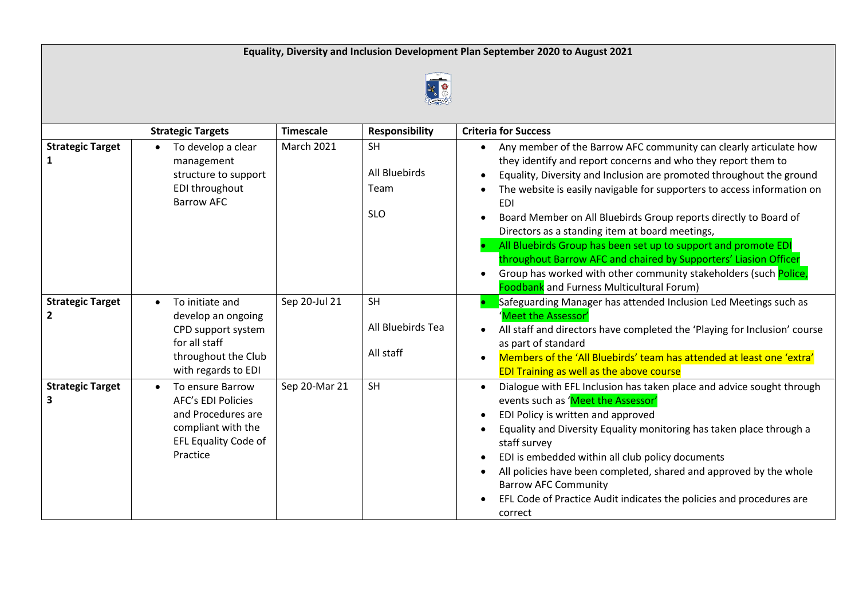

|                              | <b>Strategic Targets</b>                                                                                                      | <b>Timescale</b>  | <b>Responsibility</b>                            | <b>Criteria for Success</b>                                                                                                                                                                                                                                                                                                                                                                                                                                                                                                                                                                                                                                                       |
|------------------------------|-------------------------------------------------------------------------------------------------------------------------------|-------------------|--------------------------------------------------|-----------------------------------------------------------------------------------------------------------------------------------------------------------------------------------------------------------------------------------------------------------------------------------------------------------------------------------------------------------------------------------------------------------------------------------------------------------------------------------------------------------------------------------------------------------------------------------------------------------------------------------------------------------------------------------|
| <b>Strategic Target</b>      | To develop a clear<br>$\bullet$<br>management<br>structure to support<br>EDI throughout<br><b>Barrow AFC</b>                  | <b>March 2021</b> | <b>SH</b><br>All Bluebirds<br>Team<br><b>SLO</b> | Any member of the Barrow AFC community can clearly articulate how<br>they identify and report concerns and who they report them to<br>Equality, Diversity and Inclusion are promoted throughout the ground<br>The website is easily navigable for supporters to access information on<br>EDI<br>Board Member on All Bluebirds Group reports directly to Board of<br>Directors as a standing item at board meetings,<br>All Bluebirds Group has been set up to support and promote EDI<br>throughout Barrow AFC and chaired by Supporters' Liasion Officer<br>Group has worked with other community stakeholders (such Police,<br><b>Foodbank</b> and Furness Multicultural Forum) |
| <b>Strategic Target</b><br>2 | To initiate and<br>develop an ongoing<br>CPD support system<br>for all staff<br>throughout the Club<br>with regards to EDI    | Sep 20-Jul 21     | <b>SH</b><br>All Bluebirds Tea<br>All staff      | Safeguarding Manager has attended Inclusion Led Meetings such as<br>Meet the Assessor'<br>All staff and directors have completed the 'Playing for Inclusion' course<br>as part of standard<br>Members of the 'All Bluebirds' team has attended at least one 'extra'<br><b>EDI Training as well as the above course</b>                                                                                                                                                                                                                                                                                                                                                            |
| <b>Strategic Target</b><br>3 | To ensure Barrow<br><b>AFC's EDI Policies</b><br>and Procedures are<br>compliant with the<br>EFL Equality Code of<br>Practice | Sep 20-Mar 21     | <b>SH</b>                                        | Dialogue with EFL Inclusion has taken place and advice sought through<br>events such as 'Meet the Assessor'<br>EDI Policy is written and approved<br>Equality and Diversity Equality monitoring has taken place through a<br>staff survey<br>EDI is embedded within all club policy documents<br>All policies have been completed, shared and approved by the whole<br><b>Barrow AFC Community</b><br>EFL Code of Practice Audit indicates the policies and procedures are<br>correct                                                                                                                                                                                             |